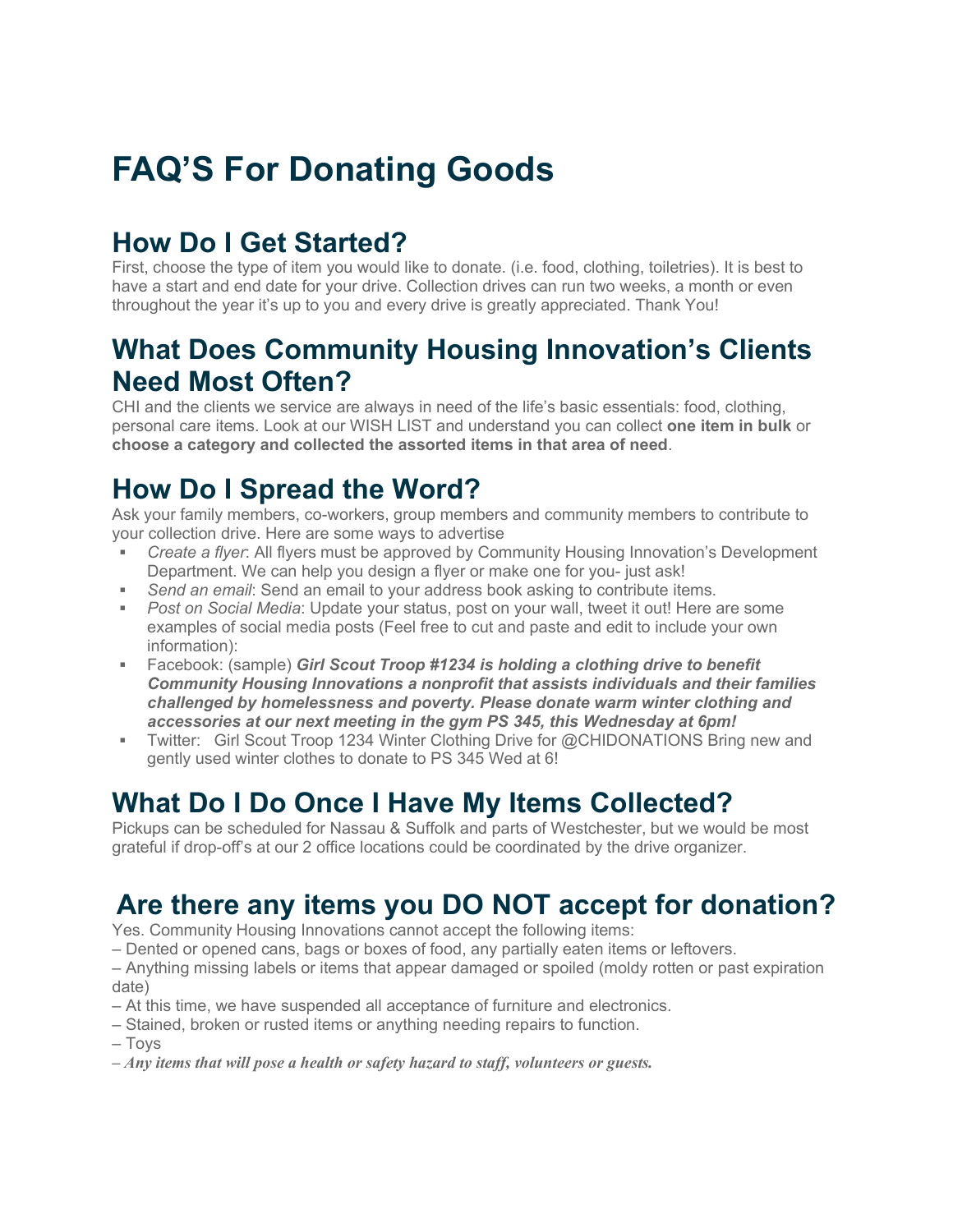# **FAQ'S For Donating Goods**

## **How Do I Get Started?**

First, choose the type of item you would like to donate. (i.e. food, clothing, toiletries). It is best to have a start and end date for your drive. Collection drives can run two weeks, a month or even throughout the year it's up to you and every drive is greatly appreciated. Thank You!

#### **What Does Community Housing Innovation's Clients Need Most Often?**

CHI and the clients we service are always in need of the life's basic essentials: food, clothing, personal care items. Look at our WISH LIST and understand you can collect **one item in bulk** or **choose a category and collected the assorted items in that area of need**.

## **How Do I Spread the Word?**

Ask your family members, co-workers, group members and community members to contribute to your collection drive. Here are some ways to advertise

- *Create a flyer*: All flyers must be approved by Community Housing Innovation's Development Department. We can help you design a flyer or make one for you- just ask!
- Send an email: Send an email to your address book asking to contribute items.
- *Post on Social Media*: Update your status, post on your wall, tweet it out! Here are some examples of social media posts (Feel free to cut and paste and edit to include your own information):
- Facebook: (sample) *Girl Scout Troop #1234 is holding a clothing drive to benefit Community Housing Innovations a nonprofit that assists individuals and their families challenged by homelessness and poverty. Please donate warm winter clothing and accessories at our next meeting in the gym PS 345, this Wednesday at 6pm!*
- Twitter: Girl Scout Troop 1234 Winter Clothing Drive for @CHIDONATIONS Bring new and gently used winter clothes to donate to PS 345 Wed at 6!

## **What Do I Do Once I Have My Items Collected?**

Pickups can be scheduled for Nassau & Suffolk and parts of Westchester, but we would be most grateful if drop-off's at our 2 office locations could be coordinated by the drive organizer.

## **Are there any items you DO NOT accept for donation?**

Yes. Community Housing Innovations cannot accept the following items:

– Dented or opened cans, bags or boxes of food, any partially eaten items or leftovers.

– Anything missing labels or items that appear damaged or spoiled (moldy rotten or past expiration date)

- At this time, we have suspended all acceptance of furniture and electronics.
- Stained, broken or rusted items or anything needing repairs to function.

– Toys

*– Any items that will pose a health or safety hazard to staff, volunteers or guests.*